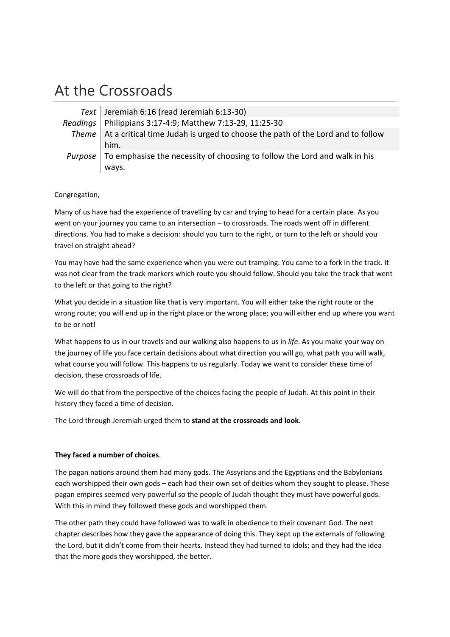## At the Crossroads

| Text Jeremiah 6:16 (read Jeremiah 6:13-30)                                                       |
|--------------------------------------------------------------------------------------------------|
| Readings   Philippians 3:17-4:9; Matthew 7:13-29, 11:25-30                                       |
| Theme $\vert$ At a critical time Judah is urged to choose the path of the Lord and to follow     |
| him.                                                                                             |
| <i>Purpose</i> $\vert$ To emphasise the necessity of choosing to follow the Lord and walk in his |
| ways.                                                                                            |

## Congregation,

Many of us have had the experience of travelling by car and trying to head for a certain place. As you went on your journey you came to an intersection – to crossroads. The roads went off in different directions. You had to make a decision: should you turn to the right, or turn to the left or should you travel on straight ahead?

You may have had the same experience when you were out tramping. You came to a fork in the track. It was not clear from the track markers which route you should follow. Should you take the track that went to the left or that going to the right?

What you decide in a situation like that is very important. You will either take the right route or the wrong route; you will end up in the right place or the wrong place; you will either end up where you want to be or not!

What happens to us in our travels and our walking also happens to us in *life*. As you make your way on the journey of life you face certain decisions about what direction you will go, what path you will walk, what course you will follow. This happens to us regularly. Today we want to consider these time of decision, these crossroads of life.

We will do that from the perspective of the choices facing the people of Judah. At this point in their history they faced a time of decision.

The Lord through Jeremiah urged them to **stand at the crossroads and look**.

## **They faced a number of choices**.

The pagan nations around them had many gods. The Assyrians and the Egyptians and the Babylonians each worshipped their own gods – each had their own set of deities whom they sought to please. These pagan empires seemed very powerful so the people of Judah thought they must have powerful gods. With this in mind they followed these gods and worshipped them.

The other path they could have followed was to walk in obedience to their covenant God. The next chapter describes how they gave the appearance of doing this. They kept up the externals of following the Lord, but it didn't come from their hearts. Instead they had turned to idols; and they had the idea that the more gods they worshipped, the better.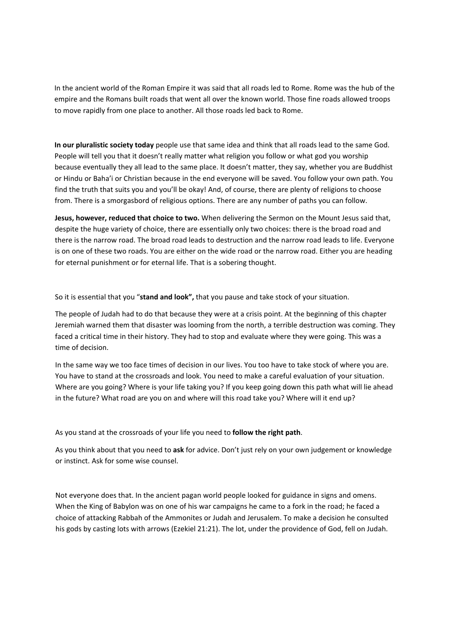In the ancient world of the Roman Empire it was said that all roads led to Rome. Rome was the hub of the empire and the Romans built roads that went all over the known world. Those fine roads allowed troops to move rapidly from one place to another. All those roads led back to Rome.

**In our pluralistic society today** people use that same idea and think that all roads lead to the same God. People will tell you that it doesn't really matter what religion you follow or what god you worship because eventually they all lead to the same place. It doesn't matter, they say, whether you are Buddhist or Hindu or Baha'i or Christian because in the end everyone will be saved. You follow your own path. You find the truth that suits you and you'll be okay! And, of course, there are plenty of religions to choose from. There is a smorgasbord of religious options. There are any number of paths you can follow.

**Jesus, however, reduced that choice to two.** When delivering the Sermon on the Mount Jesus said that, despite the huge variety of choice, there are essentially only two choices: there is the broad road and there is the narrow road. The broad road leads to destruction and the narrow road leads to life. Everyone is on one of these two roads. You are either on the wide road or the narrow road. Either you are heading for eternal punishment or for eternal life. That is a sobering thought.

So it is essential that you "**stand and look",** that you pause and take stock of your situation.

The people of Judah had to do that because they were at a crisis point. At the beginning of this chapter Jeremiah warned them that disaster was looming from the north, a terrible destruction was coming. They faced a critical time in their history. They had to stop and evaluate where they were going. This was a time of decision.

In the same way we too face times of decision in our lives. You too have to take stock of where you are. You have to stand at the crossroads and look. You need to make a careful evaluation of your situation. Where are you going? Where is your life taking you? If you keep going down this path what will lie ahead in the future? What road are you on and where will this road take you? Where will it end up?

As you stand at the crossroads of your life you need to **follow the right path**.

As you think about that you need to **ask** for advice. Don't just rely on your own judgement or knowledge or instinct. Ask for some wise counsel.

Not everyone does that. In the ancient pagan world people looked for guidance in signs and omens. When the King of Babylon was on one of his war campaigns he came to a fork in the road; he faced a choice of attacking Rabbah of the Ammonites or Judah and Jerusalem. To make a decision he consulted his gods by casting lots with arrows (Ezekiel 21:21). The lot, under the providence of God, fell on Judah.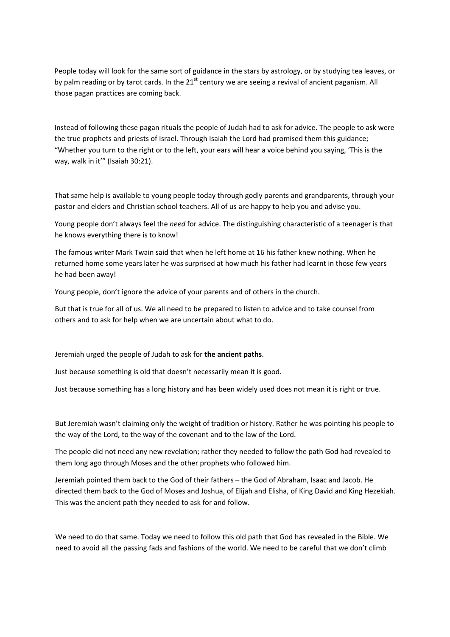People today will look for the same sort of guidance in the stars by astrology, or by studying tea leaves, or by palm reading or by tarot cards. In the  $21<sup>st</sup>$  century we are seeing a revival of ancient paganism. All those pagan practices are coming back.

Instead of following these pagan rituals the people of Judah had to ask for advice. The people to ask were the true prophets and priests of Israel. Through Isaiah the Lord had promised them this guidance; "Whether you turn to the right or to the left, your ears will hear a voice behind you saying, 'This is the way, walk in it'" (Isaiah 30:21).

That same help is available to young people today through godly parents and grandparents, through your pastor and elders and Christian school teachers. All of us are happy to help you and advise you.

Young people don't always feel the *need* for advice. The distinguishing characteristic of a teenager is that he knows everything there is to know!

The famous writer Mark Twain said that when he left home at 16 his father knew nothing. When he returned home some years later he was surprised at how much his father had learnt in those few years he had been away!

Young people, don't ignore the advice of your parents and of others in the church.

But that is true for all of us. We all need to be prepared to listen to advice and to take counsel from others and to ask for help when we are uncertain about what to do.

Jeremiah urged the people of Judah to ask for **the ancient paths**.

Just because something is old that doesn't necessarily mean it is good.

Just because something has a long history and has been widely used does not mean it is right or true.

But Jeremiah wasn't claiming only the weight of tradition or history. Rather he was pointing his people to the way of the Lord, to the way of the covenant and to the law of the Lord.

The people did not need any new revelation; rather they needed to follow the path God had revealed to them long ago through Moses and the other prophets who followed him.

Jeremiah pointed them back to the God of their fathers – the God of Abraham, Isaac and Jacob. He directed them back to the God of Moses and Joshua, of Elijah and Elisha, of King David and King Hezekiah. This was the ancient path they needed to ask for and follow.

We need to do that same. Today we need to follow this old path that God has revealed in the Bible. We need to avoid all the passing fads and fashions of the world. We need to be careful that we don't climb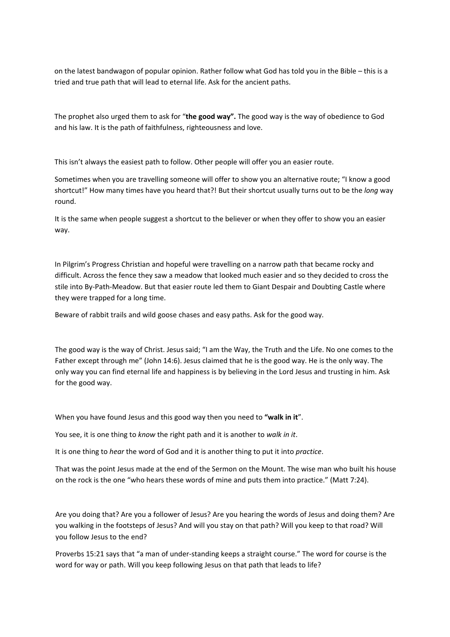on the latest bandwagon of popular opinion. Rather follow what God has told you in the Bible – this is a tried and true path that will lead to eternal life. Ask for the ancient paths.

The prophet also urged them to ask for "**the good way".** The good way is the way of obedience to God and his law. It is the path of faithfulness, righteousness and love.

This isn't always the easiest path to follow. Other people will offer you an easier route.

Sometimes when you are travelling someone will offer to show you an alternative route; "I know a good shortcut!" How many times have you heard that?! But their shortcut usually turns out to be the *long* way round.

It is the same when people suggest a shortcut to the believer or when they offer to show you an easier way.

In Pilgrim's Progress Christian and hopeful were travelling on a narrow path that became rocky and difficult. Across the fence they saw a meadow that looked much easier and so they decided to cross the stile into By-Path-Meadow. But that easier route led them to Giant Despair and Doubting Castle where they were trapped for a long time.

Beware of rabbit trails and wild goose chases and easy paths. Ask for the good way.

The good way is the way of Christ. Jesus said; "I am the Way, the Truth and the Life. No one comes to the Father except through me" (John 14:6). Jesus claimed that he is the good way. He is the only way. The only way you can find eternal life and happiness is by believing in the Lord Jesus and trusting in him. Ask for the good way.

When you have found Jesus and this good way then you need to **"walk in it**".

You see, it is one thing to *know* the right path and it is another to *walk in it*.

It is one thing to *hear* the word of God and it is another thing to put it into *practice*.

That was the point Jesus made at the end of the Sermon on the Mount. The wise man who built his house on the rock is the one "who hears these words of mine and puts them into practice." (Matt 7:24).

Are you doing that? Are you a follower of Jesus? Are you hearing the words of Jesus and doing them? Are you walking in the footsteps of Jesus? And will you stay on that path? Will you keep to that road? Will you follow Jesus to the end?

Proverbs 15:21 says that "a man of under‐standing keeps a straight course." The word for course is the word for way or path. Will you keep following Jesus on that path that leads to life?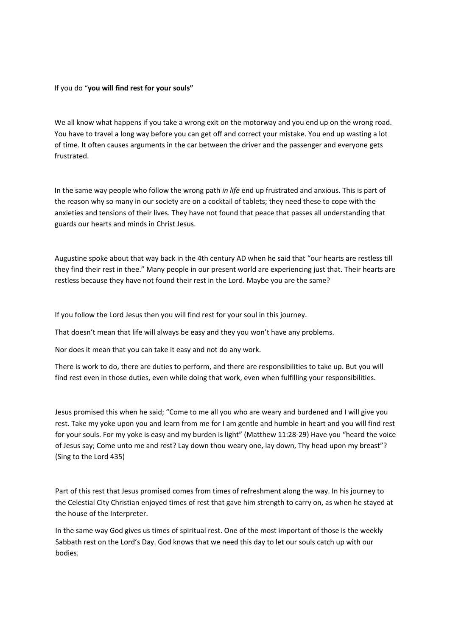## If you do "**you will find rest for your souls"**

We all know what happens if you take a wrong exit on the motorway and you end up on the wrong road. You have to travel a long way before you can get off and correct your mistake. You end up wasting a lot of time. It often causes arguments in the car between the driver and the passenger and everyone gets frustrated.

In the same way people who follow the wrong path *in life* end up frustrated and anxious. This is part of the reason why so many in our society are on a cocktail of tablets; they need these to cope with the anxieties and tensions of their lives. They have not found that peace that passes all understanding that guards our hearts and minds in Christ Jesus.

Augustine spoke about that way back in the 4th century AD when he said that "our hearts are restless till they find their rest in thee." Many people in our present world are experiencing just that. Their hearts are restless because they have not found their rest in the Lord. Maybe you are the same?

If you follow the Lord Jesus then you will find rest for your soul in this journey.

That doesn't mean that life will always be easy and they you won't have any problems.

Nor does it mean that you can take it easy and not do any work.

There is work to do, there are duties to perform, and there are responsibilities to take up. But you will find rest even in those duties, even while doing that work, even when fulfilling your responsibilities.

Jesus promised this when he said; "Come to me all you who are weary and burdened and I will give you rest. Take my yoke upon you and learn from me for I am gentle and humble in heart and you will find rest for your souls. For my yoke is easy and my burden is light" (Matthew 11:28‐29) Have you "heard the voice of Jesus say; Come unto me and rest? Lay down thou weary one, lay down, Thy head upon my breast"? (Sing to the Lord 435)

Part of this rest that Jesus promised comes from times of refreshment along the way. In his journey to the Celestial City Christian enjoyed times of rest that gave him strength to carry on, as when he stayed at the house of the Interpreter.

In the same way God gives us times of spiritual rest. One of the most important of those is the weekly Sabbath rest on the Lord's Day. God knows that we need this day to let our souls catch up with our bodies.